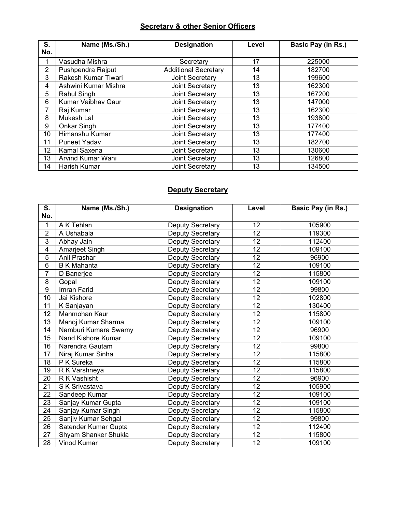### **Secretary & other Senior Officers**

| S.              | Name (Ms./Sh.)       | <b>Designation</b>          | Level | Basic Pay (in Rs.) |
|-----------------|----------------------|-----------------------------|-------|--------------------|
| No.             |                      |                             |       |                    |
|                 | Vasudha Mishra       | Secretary                   | 17    | 225000             |
| $\overline{2}$  | Pushpendra Rajput    | <b>Additional Secretary</b> | 14    | 182700             |
| 3               | Rakesh Kumar Tiwari  | Joint Secretary             | 13    | 199600             |
| 4               | Ashwini Kumar Mishra | Joint Secretary             | 13    | 162300             |
| 5               | Rahul Singh          | Joint Secretary             | 13    | 167200             |
| 6               | Kumar Vaibhav Gaur   | Joint Secretary             | 13    | 147000             |
| 7               | Raj Kumar            | Joint Secretary             | 13    | 162300             |
| 8               | Mukesh Lal           | Joint Secretary             | 13    | 193800             |
| 9               | Onkar Singh          | Joint Secretary             | 13    | 177400             |
| 10              | Himanshu Kumar       | Joint Secretary             | 13    | 177400             |
| 11              | <b>Puneet Yadav</b>  | Joint Secretary             | 13    | 182700             |
| 12 <sub>2</sub> | Kamal Saxena         | Joint Secretary             | 13    | 130600             |
| 13              | Arvind Kumar Wani    | Joint Secretary             | 13    | 126800             |
| 14              | Harish Kumar         | <b>Joint Secretary</b>      | 13    | 134500             |

# **Deputy Secretary**

| S.             | Name (Ms./Sh.)       | <b>Designation</b>      | Level           | Basic Pay (in Rs.) |
|----------------|----------------------|-------------------------|-----------------|--------------------|
| No.            |                      |                         |                 |                    |
| 1              | A K Tehlan           | <b>Deputy Secretary</b> | 12              | 105900             |
| $\overline{2}$ | A Ushabala           | Deputy Secretary        | 12              | 119300             |
| 3              | Abhay Jain           | Deputy Secretary        | $\overline{12}$ | 112400             |
| 4              | Amarjeet Singh       | Deputy Secretary        | 12              | 109100             |
| 5              | Anil Prashar         | Deputy Secretary        | 12              | 96900              |
| $\overline{6}$ | <b>B K Mahanta</b>   | Deputy Secretary        | $\overline{12}$ | 109100             |
| $\overline{7}$ | D Banerjee           | Deputy Secretary        | 12              | 115800             |
| 8              | Gopal                | Deputy Secretary        | 12              | 109100             |
| 9              | Imran Farid          | <b>Deputy Secretary</b> | 12              | 99800              |
| 10             | Jai Kishore          | Deputy Secretary        | $\overline{12}$ | 102800             |
| 11             | K Sanjayan           | Deputy Secretary        | 12              | 130400             |
| 12             | Manmohan Kaur        | Deputy Secretary        | 12              | 115800             |
| 13             | Manoj Kumar Sharma   | <b>Deputy Secretary</b> | 12              | 109100             |
| 14             | Namburi Kumara Swamy | <b>Deputy Secretary</b> | 12              | 96900              |
| 15             | Nand Kishore Kumar   | Deputy Secretary        | 12              | 109100             |
| 16             | Narendra Gautam      | Deputy Secretary        | 12              | 99800              |
| 17             | Niraj Kumar Sinha    | Deputy Secretary        | 12              | 115800             |
| 18             | P K Sureka           | <b>Deputy Secretary</b> | 12              | 115800             |
| 19             | R K Varshneya        | Deputy Secretary        | $\overline{12}$ | 115800             |
| 20             | R K Vashisht         | Deputy Secretary        | 12              | 96900              |
| 21             | S K Srivastava       | Deputy Secretary        | 12              | 105900             |
| 22             | Sandeep Kumar        | Deputy Secretary        | 12              | 109100             |
| 23             | Sanjay Kumar Gupta   | Deputy Secretary        | $\overline{12}$ | 109100             |
| 24             | Sanjay Kumar Singh   | Deputy Secretary        | 12              | 115800             |
| 25             | Sanjiv Kumar Sehgal  | Deputy Secretary        | 12              | 99800              |
| 26             | Satender Kumar Gupta | <b>Deputy Secretary</b> | 12              | 112400             |
| 27             | Shyam Shanker Shukla | Deputy Secretary        | 12              | 115800             |
| 28             | <b>Vinod Kumar</b>   | Deputy Secretary        | $\overline{12}$ | 109100             |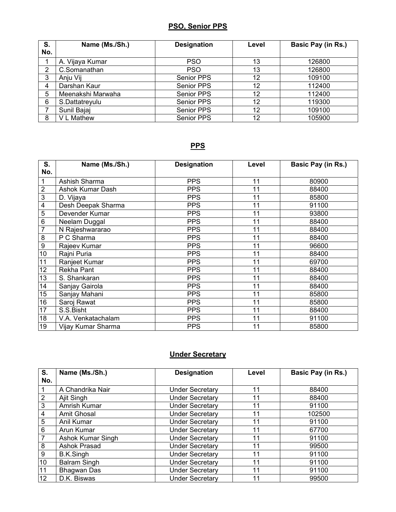# **PSO, Senior PPS**

| S.<br>No. | Name (Ms./Sh.)    | <b>Designation</b> | Level | Basic Pay (in Rs.) |
|-----------|-------------------|--------------------|-------|--------------------|
|           | A. Vijaya Kumar   | <b>PSO</b>         | 13    | 126800             |
| 2         | C.Somanathan      | <b>PSO</b>         | 13    | 126800             |
| 3         | Anju Vij          | Senior PPS         | 12    | 109100             |
| 4         | Darshan Kaur      | Senior PPS         | 12    | 112400             |
| 5         | Meenakshi Marwaha | <b>Senior PPS</b>  | 12    | 112400             |
| 6         | S.Dattatreyulu    | Senior PPS         | 12    | 119300             |
|           | Sunil Bajaj       | Senior PPS         | 12    | 109100             |
| 8         | V L Mathew        | <b>Senior PPS</b>  | 12    | 105900             |

#### **PPS**

| S.             | Name (Ms./Sh.)          | <b>Designation</b> | Level | Basic Pay (in Rs.) |
|----------------|-------------------------|--------------------|-------|--------------------|
| No.            |                         |                    |       |                    |
| 1              | Ashish Sharma           | <b>PPS</b>         | 11    | 80900              |
| $\overline{2}$ | <b>Ashok Kumar Dash</b> | <b>PPS</b>         | 11    | 88400              |
| 3              | D. Vijaya               | <b>PPS</b>         | 11    | 85800              |
| 4              | Desh Deepak Sharma      | <b>PPS</b>         | 11    | 91100              |
| 5              | Devender Kumar          | <b>PPS</b>         | 11    | 93800              |
| 6              | Neelam Duggal           | <b>PPS</b>         | 11    | 88400              |
| 7              | N Rajeshwararao         | <b>PPS</b>         | 11    | 88400              |
| 8              | P C Sharma              | <b>PPS</b>         | 11    | 88400              |
| 9              | Rajeev Kumar            | <b>PPS</b>         | 11    | 96600              |
| 10             | Rajni Puria             | <b>PPS</b>         | 11    | 88400              |
| 11             | Ranjeet Kumar           | <b>PPS</b>         | 11    | 69700              |
| 12             | <b>Rekha Pant</b>       | <b>PPS</b>         | 11    | 88400              |
| 13             | S. Shankaran            | <b>PPS</b>         | 11    | 88400              |
| 14             | Sanjay Gairola          | <b>PPS</b>         | 11    | 88400              |
| 15             | Sanjay Mahani           | <b>PPS</b>         | 11    | 85800              |
| 16             | Saroj Rawat             | <b>PPS</b>         | 11    | 85800              |
| 17             | S.S.Bisht               | <b>PPS</b>         | 11    | 88400              |
| 18             | V.A. Venkatachalam      | <b>PPS</b>         | 11    | 91100              |
| 19             | Vijay Kumar Sharma      | <b>PPS</b>         | 11    | 85800              |

### **Under Secretary**

| S.  | Name (Ms./Sh.)      | <b>Designation</b>     | Level | <b>Basic Pay (in Rs.)</b> |
|-----|---------------------|------------------------|-------|---------------------------|
| No. |                     |                        |       |                           |
|     | A Chandrika Nair    | <b>Under Secretary</b> | 11    | 88400                     |
| 2   | Ajit Singh          | <b>Under Secretary</b> | 11    | 88400                     |
| 3   | Amrish Kumar        | <b>Under Secretary</b> | 11    | 91100                     |
| 4   | <b>Amit Ghosal</b>  | <b>Under Secretary</b> | 11    | 102500                    |
| 5   | Anil Kumar          | <b>Under Secretary</b> | 11    | 91100                     |
| 6   | Arun Kumar          | <b>Under Secretary</b> | 11    | 67700                     |
| 7   | Ashok Kumar Singh   | <b>Under Secretary</b> | 11    | 91100                     |
| 8   | Ashok Prasad        | <b>Under Secretary</b> | 11    | 99500                     |
| 9   | B.K.Singh           | <b>Under Secretary</b> | 11    | 91100                     |
| 10  | <b>Balram Singh</b> | <b>Under Secretary</b> | 11    | 91100                     |
| 11  | <b>Bhagwan Das</b>  | <b>Under Secretary</b> | 11    | 91100                     |
| 12  | D.K. Biswas         | <b>Under Secretary</b> | 11    | 99500                     |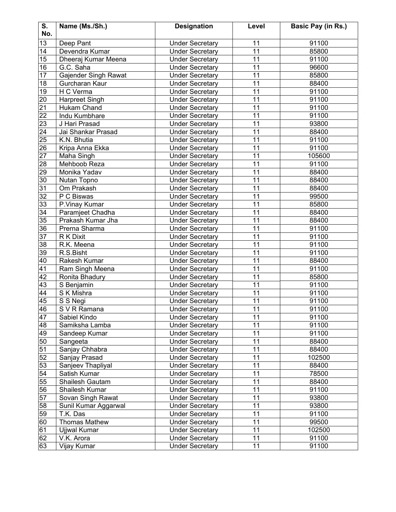| S.              | Name (Ms./Sh.)       | <b>Designation</b>     | Level           | Basic Pay (in Rs.) |
|-----------------|----------------------|------------------------|-----------------|--------------------|
| No.             |                      |                        |                 |                    |
| 13              | Deep Pant            | <b>Under Secretary</b> | 11              | 91100              |
| 14              | Devendra Kumar       | <b>Under Secretary</b> | 11              | 85800              |
| 15              | Dheeraj Kumar Meena  | <b>Under Secretary</b> | 11              | 91100              |
| 16              | G.C. Saha            | <b>Under Secretary</b> | 11              | 96600              |
| 17              | Gajender Singh Rawat | <b>Under Secretary</b> | 11              | 85800              |
| 18              | Gurcharan Kaur       | <b>Under Secretary</b> | 11              | 88400              |
| $\overline{19}$ | H C Verma            | <b>Under Secretary</b> | 11              | 91100              |
| 20              | Harpreet Singh       | <b>Under Secretary</b> | 11              | 91100              |
| 21              | Hukam Chand          | <b>Under Secretary</b> | 11              | 91100              |
| $\overline{22}$ | Indu Kumbhare        | <b>Under Secretary</b> | 11              | 91100              |
| $\overline{23}$ | J Hari Prasad        | <b>Under Secretary</b> | 11              | 93800              |
| 24              | Jai Shankar Prasad   | <b>Under Secretary</b> | 11              | 88400              |
| $\overline{25}$ | K.N. Bhutia          | <b>Under Secretary</b> | 11              | 91100              |
| 26              | Kripa Anna Ekka      | <b>Under Secretary</b> | 11              | 91100              |
| 27              | Maha Singh           | <b>Under Secretary</b> | 11              | 105600             |
| 28              | Mehboob Reza         | <b>Under Secretary</b> | 11              | 91100              |
| 29              | Monika Yadav         | <b>Under Secretary</b> | 11              | 88400              |
| 30              | Nutan Topno          | <b>Under Secretary</b> | 11              | 88400              |
| 31              | Om Prakash           | <b>Under Secretary</b> | 11              | 88400              |
| 32              | P C Biswas           | <b>Under Secretary</b> | 11              | 99500              |
| $\overline{33}$ | P.Vinay Kumar        | <b>Under Secretary</b> | 11              | 85800              |
| $\overline{34}$ | Paramjeet Chadha     | <b>Under Secretary</b> | 11              | 88400              |
| $\overline{35}$ | Prakash Kumar Jha    | <b>Under Secretary</b> | 11              | 88400              |
| $\overline{36}$ | Prerna Sharma        | <b>Under Secretary</b> | 11              | 91100              |
| 37              | R K Dixit            | <b>Under Secretary</b> | 11              | 91100              |
| 38              | R.K. Meena           | <b>Under Secretary</b> | 11              | 91100              |
| 39              | R.S.Bisht            | <b>Under Secretary</b> | 11              | 91100              |
| 40              | Rakesh Kumar         | <b>Under Secretary</b> | 11              | 88400              |
| 41              | Ram Singh Meena      | <b>Under Secretary</b> | 11              | 91100              |
| $\overline{42}$ | Ronita Bhadury       | <b>Under Secretary</b> | $\overline{11}$ | 85800              |
| 43              | S Benjamin           | <b>Under Secretary</b> | 11              | 91100              |
| 44              | S K Mishra           | <b>Under Secretary</b> | 11              | 91100              |
| 45              | S S Negi             | <b>Under Secretary</b> | 11              | 91100              |
| 46              | S V R Ramana         | <b>Under Secretary</b> | 11              | 91100              |
| 47              | Sabiel Kindo         | <b>Under Secretary</b> | 11              | 91100              |
| 48              | Samiksha Lamba       | <b>Under Secretary</b> | 11              | 91100              |
| 49              | Sandeep Kumar        | <b>Under Secretary</b> | 11              | 91100              |
| 50              | Sangeeta             | <b>Under Secretary</b> | 11              | 88400              |
| 51              | Sanjay Chhabra       | <b>Under Secretary</b> | 11              | 88400              |
| 52              | Sanjay Prasad        | <b>Under Secretary</b> | 11              | 102500             |
| 53              | Sanjeev Thapliyal    | <b>Under Secretary</b> | 11              | 88400              |
| 54              | Satish Kumar         | <b>Under Secretary</b> | 11              | 78500              |
| $\overline{55}$ | Shailesh Gautam      | <b>Under Secretary</b> | $\overline{11}$ | 88400              |
| 56              | Shailesh Kumar       | <b>Under Secretary</b> | 11              | 91100              |
| 57              | Sovan Singh Rawat    | <b>Under Secretary</b> | 11              | 93800              |
| 58              | Sunil Kumar Aggarwal | <b>Under Secretary</b> | 11              | 93800              |
| 59              | T.K. Das             | <b>Under Secretary</b> | 11              | 91100              |
| 60              | <b>Thomas Mathew</b> | <b>Under Secretary</b> | 11              | 99500              |
| 61              | Ujjwal Kumar         | <b>Under Secretary</b> | 11              | 102500             |
| 62              | V.K. Arora           | <b>Under Secretary</b> | 11              | 91100              |
| 63              | Vijay Kumar          | <b>Under Secretary</b> | 11              | 91100              |